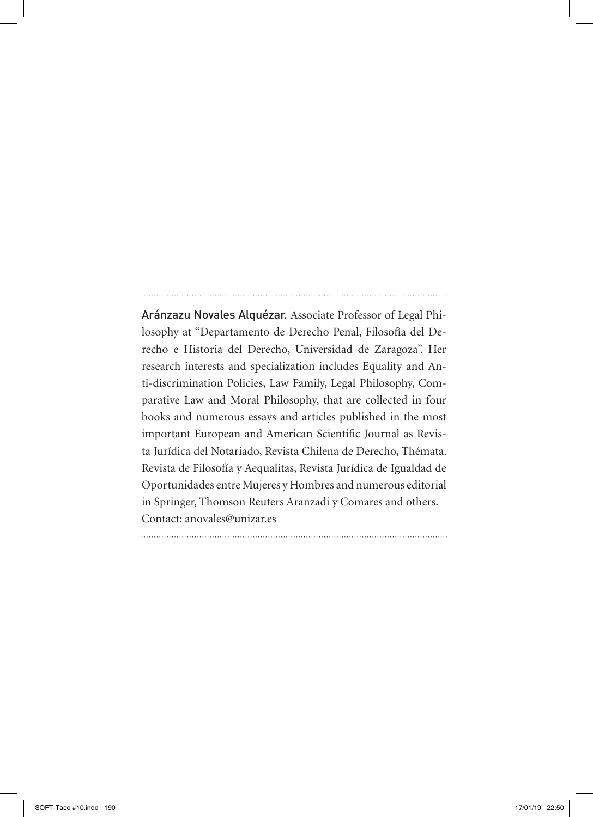Aránzazu Novales Alquézar. Associate Professor of Legal Philosophy at "Departamento de Derecho Penal, Filosofía del Derecho e Historia del Derecho, Universidad de Zaragoza". Her research interests and specialization includes Equality and Anti-discrimination Policies, Law Family, Legal Philosophy, Comparative Law and Moral Philosophy, that are collected in four books and numerous essays and articles published in the most important European and American Scientific Journal as Revista Jurídica del Notariado, Revista Chilena de Derecho, Thémata. Revista de Filosofía y Aequalitas, Revista Jurídica de Igualdad de Oportunidades entre Mujeres y Hombres and numerous editorial in Springer, Thomson Reuters Aranzadi y Comares and others. Contact: anovales@unizar.es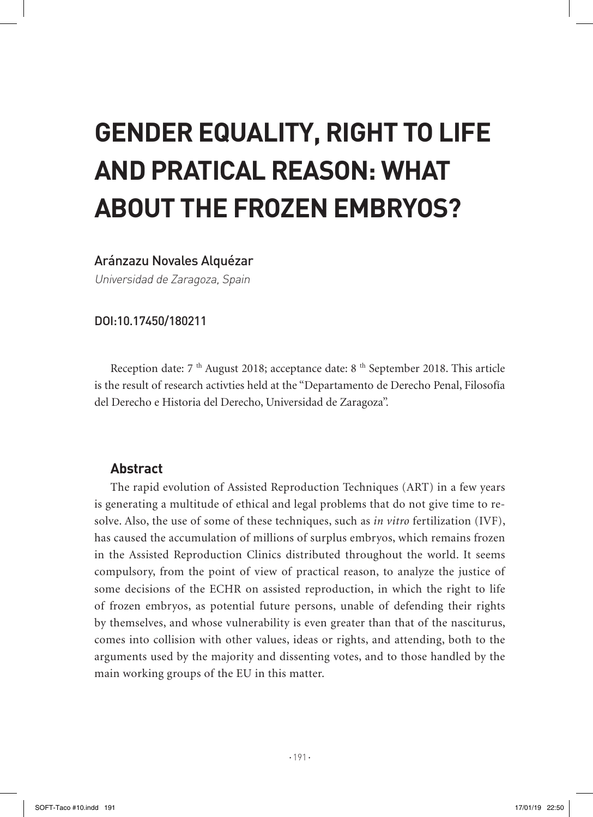# **GENDER EQUALITY, RIGHT TO LIFE AND PRATICAL REASON: WHAT ABOUT THE FROZEN EMBRYOS?**

## Aránzazu Novales Alquézar

Universidad de Zaragoza, Spain

#### DOI:10.17450/180211

Reception date:  $7<sup>th</sup>$  August 2018; acceptance date:  $8<sup>th</sup>$  September 2018. This article is the result of research activties held at the "Departamento de Derecho Penal, Filosofía del Derecho e Historia del Derecho, Universidad de Zaragoza".

## **Abstract**

The rapid evolution of Assisted Reproduction Techniques (ART) in a few years is generating a multitude of ethical and legal problems that do not give time to resolve. Also, the use of some of these techniques, such as *in vitro* fertilization (IVF), has caused the accumulation of millions of surplus embryos, which remains frozen in the Assisted Reproduction Clinics distributed throughout the world. It seems compulsory, from the point of view of practical reason, to analyze the justice of some decisions of the ECHR on assisted reproduction, in which the right to life of frozen embryos, as potential future persons, unable of defending their rights by themselves, and whose vulnerability is even greater than that of the nasciturus, comes into collision with other values, ideas or rights, and attending, both to the arguments used by the majority and dissenting votes, and to those handled by the main working groups of the EU in this matter.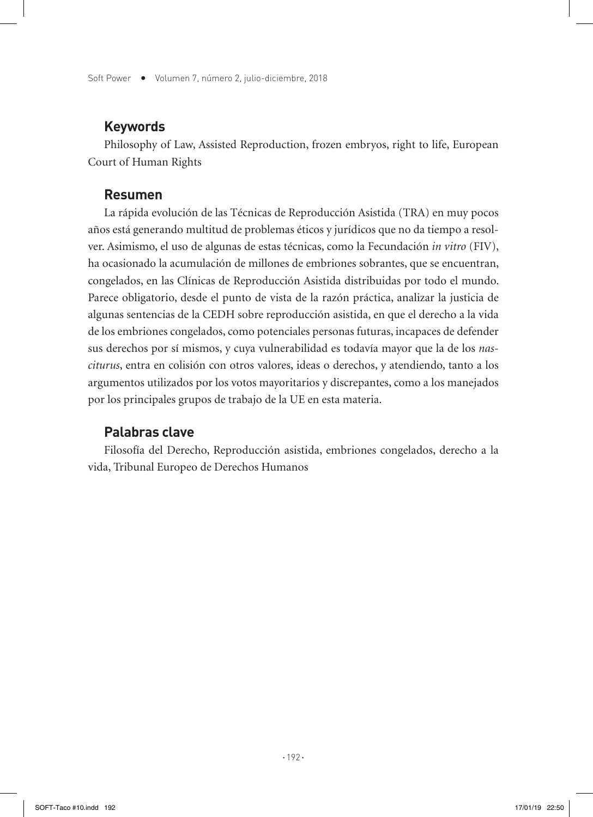Soft Power  $\bullet$  Volumen 7, número 2, julio-diciembre, 2018

## **Keywords**

Philosophy of Law, Assisted Reproduction, frozen embryos, right to life, European Court of Human Rights

#### **Resumen**

La rápida evolución de las Técnicas de Reproducción Asistida (TRA) en muy pocos años está generando multitud de problemas éticos y jurídicos que no da tiempo a resolver. Asimismo, el uso de algunas de estas técnicas, como la Fecundación *in vitro* (FIV), ha ocasionado la acumulación de millones de embriones sobrantes, que se encuentran, congelados, en las Clínicas de Reproducción Asistida distribuidas por todo el mundo. Parece obligatorio, desde el punto de vista de la razón práctica, analizar la justicia de algunas sentencias de la CEDH sobre reproducción asistida, en que el derecho a la vida de los embriones congelados, como potenciales personas futuras, incapaces de defender sus derechos por sí mismos, y cuya vulnerabilidad es todavía mayor que la de los *nasciturus*, entra en colisión con otros valores, ideas o derechos, y atendiendo, tanto a los argumentos utilizados por los votos mayoritarios y discrepantes, como a los manejados por los principales grupos de trabajo de la UE en esta materia.

## **Palabras clave**

Filosofía del Derecho, Reproducción asistida, embriones congelados, derecho a la vida, Tribunal Europeo de Derechos Humanos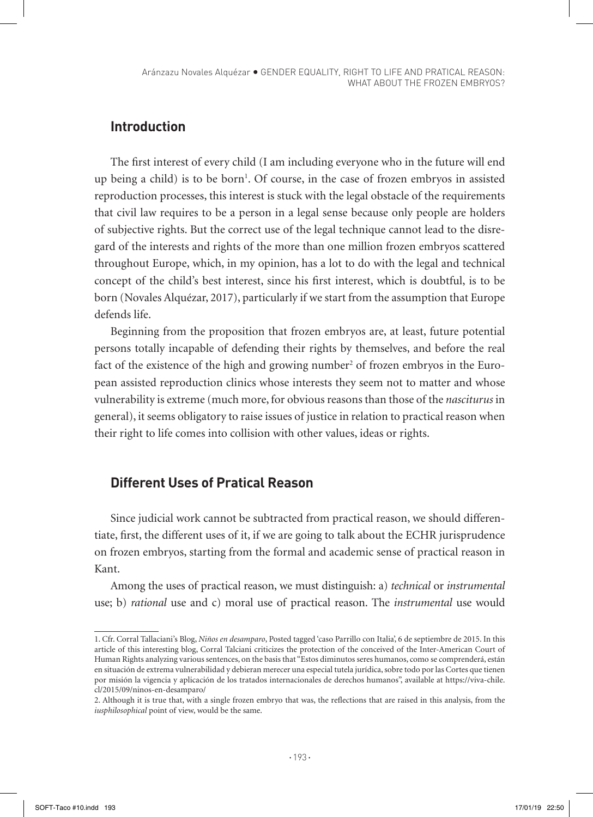## **Introduction**

The first interest of every child (I am including everyone who in the future will end up being a child) is to be born<sup>1</sup>. Of course, in the case of frozen embryos in assisted reproduction processes, this interest is stuck with the legal obstacle of the requirements that civil law requires to be a person in a legal sense because only people are holders of subjective rights. But the correct use of the legal technique cannot lead to the disregard of the interests and rights of the more than one million frozen embryos scattered throughout Europe, which, in my opinion, has a lot to do with the legal and technical concept of the child's best interest, since his first interest, which is doubtful, is to be born (Novales Alquézar, 2017), particularly if we start from the assumption that Europe defends life.

Beginning from the proposition that frozen embryos are, at least, future potential persons totally incapable of defending their rights by themselves, and before the real fact of the existence of the high and growing number<sup>2</sup> of frozen embryos in the European assisted reproduction clinics whose interests they seem not to matter and whose vulnerability is extreme (much more, for obvious reasons than those of the *nasciturus* in general), it seems obligatory to raise issues of justice in relation to practical reason when their right to life comes into collision with other values, ideas or rights.

## **Different Uses of Pratical Reason**

Since judicial work cannot be subtracted from practical reason, we should differentiate, first, the different uses of it, if we are going to talk about the ECHR jurisprudence on frozen embryos, starting from the formal and academic sense of practical reason in Kant.

Among the uses of practical reason, we must distinguish: a) *technical* or *instrumental* use; b) *rational* use and c) moral use of practical reason. The *instrumental* use would

<sup>1.</sup> Cfr. Corral Tallaciani's Blog, *Niños en desamparo*, Posted tagged 'caso Parrillo con Italia', 6 de septiembre de 2015. In this article of this interesting blog, Corral Talciani criticizes the protection of the conceived of the Inter-American Court of Human Rights analyzing various sentences, on the basis that "Estos diminutos seres humanos, como se comprenderá, están en situación de extrema vulnerabilidad y debieran merecer una especial tutela jurídica, sobre todo por las Cortes que tienen por misión la vigencia y aplicación de los tratados internacionales de derechos humanos", available at https://viva-chile. cl/2015/09/ninos-en-desamparo/

<sup>2.</sup> Although it is true that, with a single frozen embryo that was, the reflections that are raised in this analysis, from the *iusphilosophical* point of view, would be the same.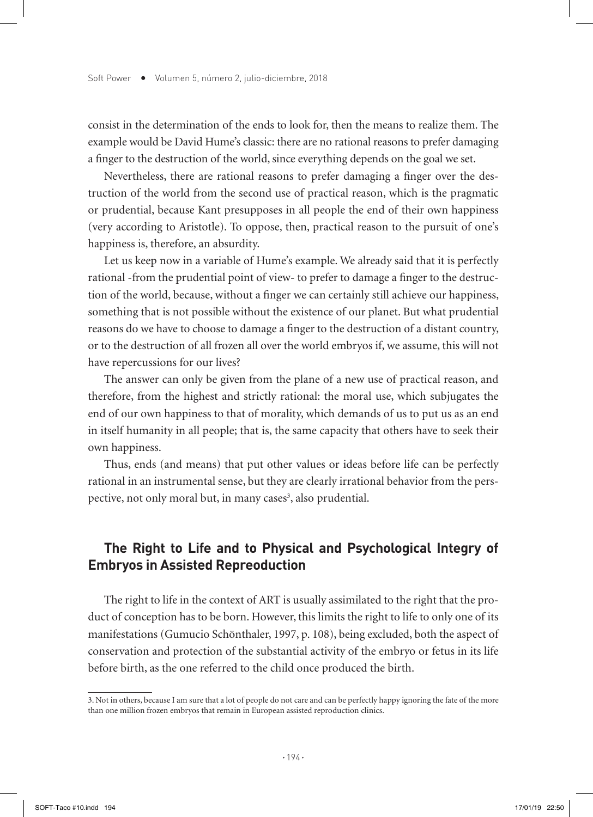consist in the determination of the ends to look for, then the means to realize them. The example would be David Hume's classic: there are no rational reasons to prefer damaging a finger to the destruction of the world, since everything depends on the goal we set.

Nevertheless, there are rational reasons to prefer damaging a finger over the destruction of the world from the second use of practical reason, which is the pragmatic or prudential, because Kant presupposes in all people the end of their own happiness (very according to Aristotle). To oppose, then, practical reason to the pursuit of one's happiness is, therefore, an absurdity.

Let us keep now in a variable of Hume's example. We already said that it is perfectly rational -from the prudential point of view- to prefer to damage a finger to the destruction of the world, because, without a finger we can certainly still achieve our happiness, something that is not possible without the existence of our planet. But what prudential reasons do we have to choose to damage a finger to the destruction of a distant country, or to the destruction of all frozen all over the world embryos if, we assume, this will not have repercussions for our lives?

The answer can only be given from the plane of a new use of practical reason, and therefore, from the highest and strictly rational: the moral use, which subjugates the end of our own happiness to that of morality, which demands of us to put us as an end in itself humanity in all people; that is, the same capacity that others have to seek their own happiness.

Thus, ends (and means) that put other values or ideas before life can be perfectly rational in an instrumental sense, but they are clearly irrational behavior from the perspective, not only moral but, in many cases<sup>3</sup>, also prudential.

## **The Right to Life and to Physical and Psychological Integry of Embryos in Assisted Repreoduction**

The right to life in the context of ART is usually assimilated to the right that the product of conception has to be born. However, this limits the right to life to only one of its manifestations (Gumucio Schönthaler, 1997, p. 108), being excluded, both the aspect of conservation and protection of the substantial activity of the embryo or fetus in its life before birth, as the one referred to the child once produced the birth.

<sup>3.</sup> Not in others, because I am sure that a lot of people do not care and can be perfectly happy ignoring the fate of the more than one million frozen embryos that remain in European assisted reproduction clinics.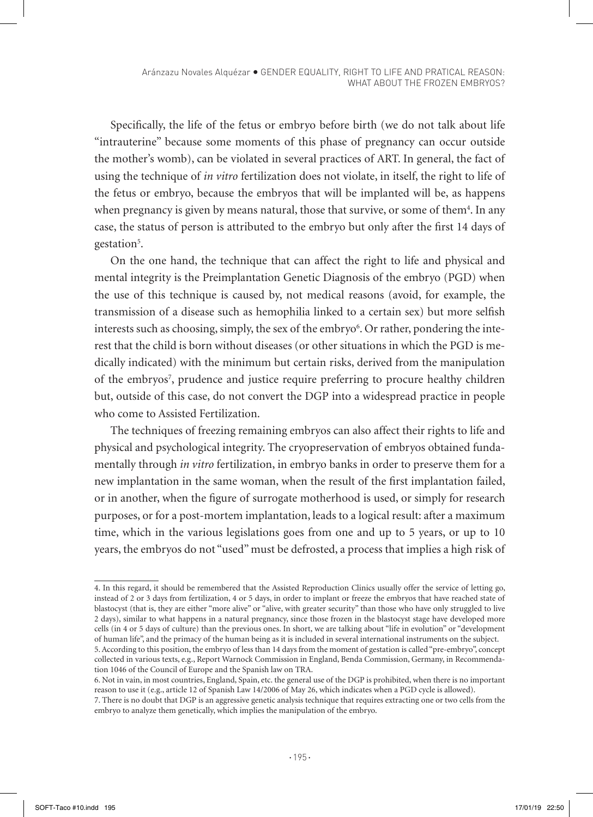Specifically, the life of the fetus or embryo before birth (we do not talk about life "intrauterine" because some moments of this phase of pregnancy can occur outside the mother's womb), can be violated in several practices of ART. In general, the fact of using the technique of *in vitro* fertilization does not violate, in itself, the right to life of the fetus or embryo, because the embryos that will be implanted will be, as happens when pregnancy is given by means natural, those that survive, or some of them<sup>4</sup>. In any case, the status of person is attributed to the embryo but only after the first 14 days of gestation<sup>5</sup>.

On the one hand, the technique that can affect the right to life and physical and mental integrity is the Preimplantation Genetic Diagnosis of the embryo (PGD) when the use of this technique is caused by, not medical reasons (avoid, for example, the transmission of a disease such as hemophilia linked to a certain sex) but more selfish interests such as choosing, simply, the sex of the embryo $\rm ^6$ . Or rather, pondering the interest that the child is born without diseases (or other situations in which the PGD is medically indicated) with the minimum but certain risks, derived from the manipulation of the embryos<sup>7</sup>, prudence and justice require preferring to procure healthy children but, outside of this case, do not convert the DGP into a widespread practice in people who come to Assisted Fertilization.

The techniques of freezing remaining embryos can also affect their rights to life and physical and psychological integrity. The cryopreservation of embryos obtained fundamentally through *in vitro* fertilization, in embryo banks in order to preserve them for a new implantation in the same woman, when the result of the first implantation failed, or in another, when the figure of surrogate motherhood is used, or simply for research purposes, or for a post-mortem implantation, leads to a logical result: after a maximum time, which in the various legislations goes from one and up to 5 years, or up to 10 years, the embryos do not "used" must be defrosted, a process that implies a high risk of

<sup>4.</sup> In this regard, it should be remembered that the Assisted Reproduction Clinics usually offer the service of letting go, instead of 2 or 3 days from fertilization, 4 or 5 days, in order to implant or freeze the embryos that have reached state of blastocyst (that is, they are either "more alive" or "alive, with greater security" than those who have only struggled to live 2 days), similar to what happens in a natural pregnancy, since those frozen in the blastocyst stage have developed more cells (in 4 or 5 days of culture) than the previous ones. In short, we are talking about "life in evolution" or "development of human life", and the primacy of the human being as it is included in several international instruments on the subject. 5. According to this position, the embryo of less than 14 days from the moment of gestation is called "pre-embryo", concept

collected in various texts, e.g., Report Warnock Commission in England, Benda Commission, Germany, in Recommendation 1046 of the Council of Europe and the Spanish law on TRA.

<sup>6.</sup> Not in vain, in most countries, England, Spain, etc. the general use of the DGP is prohibited, when there is no important reason to use it (e.g., article 12 of Spanish Law 14/2006 of May 26, which indicates when a PGD cycle is allowed).

<sup>7.</sup> There is no doubt that DGP is an aggressive genetic analysis technique that requires extracting one or two cells from the embryo to analyze them genetically, which implies the manipulation of the embryo.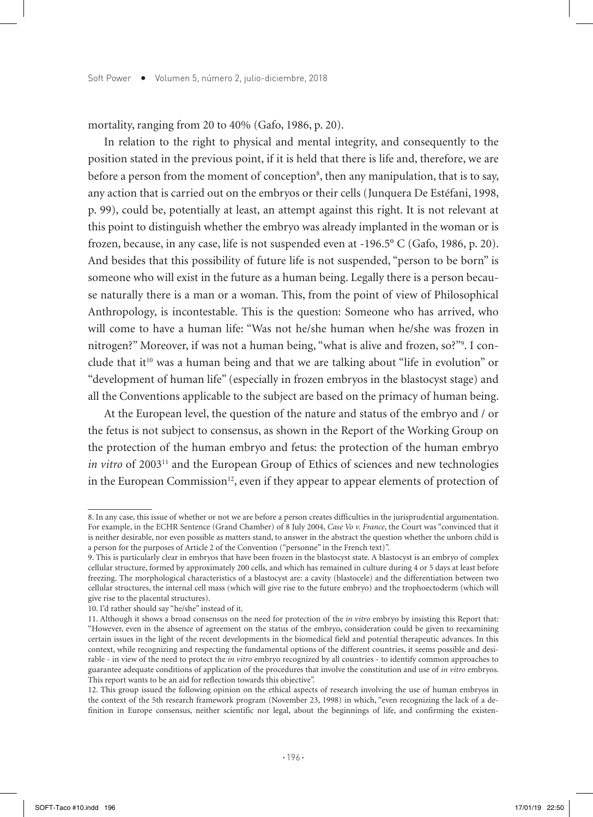mortality, ranging from 20 to 40% (Gafo, 1986, p. 20).

In relation to the right to physical and mental integrity, and consequently to the position stated in the previous point, if it is held that there is life and, therefore, we are before a person from the moment of conception<sup>8</sup>, then any manipulation, that is to say, any action that is carried out on the embryos or their cells (Junquera De Estéfani, 1998, p. 99), could be, potentially at least, an attempt against this right. It is not relevant at this point to distinguish whether the embryo was already implanted in the woman or is frozen, because, in any case, life is not suspended even at -196.5° C (Gafo, 1986, p. 20). And besides that this possibility of future life is not suspended, "person to be born" is someone who will exist in the future as a human being. Legally there is a person because naturally there is a man or a woman. This, from the point of view of Philosophical Anthropology, is incontestable. This is the question: Someone who has arrived, who will come to have a human life: "Was not he/she human when he/she was frozen in nitrogen?" Moreover, if was not a human being, "what is alive and frozen, so?"9 . I conclude that it<sup>10</sup> was a human being and that we are talking about "life in evolution" or "development of human life" (especially in frozen embryos in the blastocyst stage) and all the Conventions applicable to the subject are based on the primacy of human being.

At the European level, the question of the nature and status of the embryo and / or the fetus is not subject to consensus, as shown in the Report of the Working Group on the protection of the human embryo and fetus: the protection of the human embryo *in vitro* of 2003<sup>11</sup> and the European Group of Ethics of sciences and new technologies in the European Commission<sup>12</sup>, even if they appear to appear elements of protection of

<sup>8.</sup> In any case, this issue of whether or not we are before a person creates difficulties in the jurisprudential argumentation. For example, in the ECHR Sentence (Grand Chamber) of 8 July 2004, *Case Vo v. France*, the Court was "convinced that it is neither desirable, nor even possible as matters stand, to answer in the abstract the question whether the unborn child is a person for the purposes of Article 2 of the Convention ("personne" in the French text)".

<sup>9.</sup> This is particularly clear in embryos that have been frozen in the blastocyst state. A blastocyst is an embryo of complex cellular structure, formed by approximately 200 cells, and which has remained in culture during 4 or 5 days at least before freezing. The morphological characteristics of a blastocyst are: a cavity (blastocele) and the differentiation between two cellular structures, the internal cell mass (which will give rise to the future embryo) and the trophoectoderm (which will give rise to the placental structures).

<sup>10.</sup> I'd rather should say "he/she" instead of it.

<sup>11.</sup> Although it shows a broad consensus on the need for protection of the *in vitro* embryo by insisting this Report that: "However, even in the absence of agreement on the status of the embryo, consideration could be given to reexamining certain issues in the light of the recent developments in the biomedical field and potential therapeutic advances. In this context, while recognizing and respecting the fundamental options of the different countries, it seems possible and desirable - in view of the need to protect the *in vitro* embryo recognized by all countries - to identify common approaches to guarantee adequate conditions of application of the procedures that involve the constitution and use of *in vitro* embryos. This report wants to be an aid for reflection towards this objective".

<sup>12.</sup> This group issued the following opinion on the ethical aspects of research involving the use of human embryos in the context of the 5th research framework program (November 23, 1998) in which, "even recognizing the lack of a definition in Europe consensus, neither scientific nor legal, about the beginnings of life, and confirming the existen-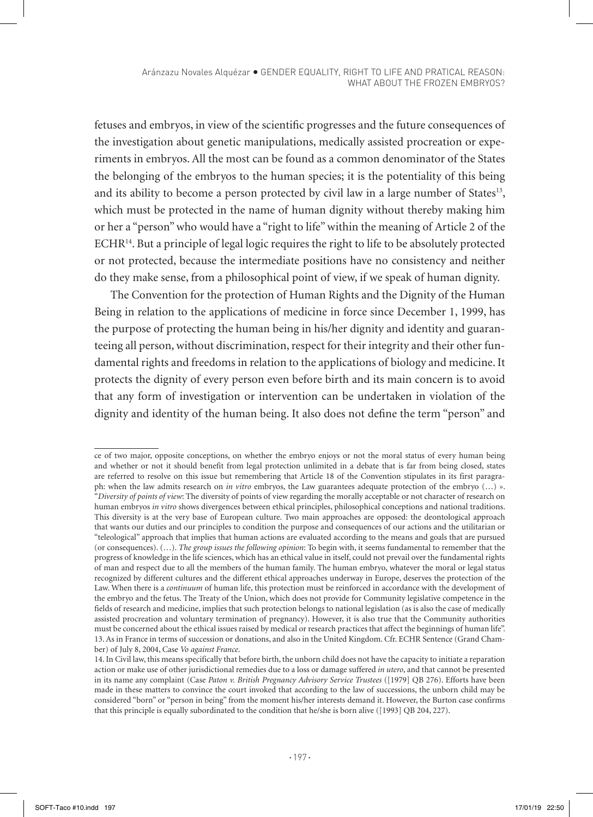fetuses and embryos, in view of the scientific progresses and the future consequences of the investigation about genetic manipulations, medically assisted procreation or experiments in embryos. All the most can be found as a common denominator of the States the belonging of the embryos to the human species; it is the potentiality of this being and its ability to become a person protected by civil law in a large number of States<sup>13</sup>, which must be protected in the name of human dignity without thereby making him or her a "person" who would have a "right to life" within the meaning of Article 2 of the ECHR14. But a principle of legal logic requires the right to life to be absolutely protected or not protected, because the intermediate positions have no consistency and neither do they make sense, from a philosophical point of view, if we speak of human dignity.

The Convention for the protection of Human Rights and the Dignity of the Human Being in relation to the applications of medicine in force since December 1, 1999, has the purpose of protecting the human being in his/her dignity and identity and guaranteeing all person, without discrimination, respect for their integrity and their other fundamental rights and freedoms in relation to the applications of biology and medicine. It protects the dignity of every person even before birth and its main concern is to avoid that any form of investigation or intervention can be undertaken in violation of the dignity and identity of the human being. It also does not define the term "person" and

ce of two major, opposite conceptions, on whether the embryo enjoys or not the moral status of every human being and whether or not it should benefit from legal protection unlimited in a debate that is far from being closed, states are referred to resolve on this issue but remembering that Article 18 of the Convention stipulates in its first paragraph: when the law admits research on *in vitro* embryos, the Law guarantees adequate protection of the embryo (…) ». "*Diversity of points of view*: The diversity of points of view regarding the morally acceptable or not character of research on human embryos *in vitro* shows divergences between ethical principles, philosophical conceptions and national traditions. This diversity is at the very base of European culture. Two main approaches are opposed: the deontological approach that wants our duties and our principles to condition the purpose and consequences of our actions and the utilitarian or "teleological" approach that implies that human actions are evaluated according to the means and goals that are pursued (or consequences). (…). *The group issues the following opinion*: To begin with, it seems fundamental to remember that the progress of knowledge in the life sciences, which has an ethical value in itself, could not prevail over the fundamental rights of man and respect due to all the members of the human family. The human embryo, whatever the moral or legal status recognized by different cultures and the different ethical approaches underway in Europe, deserves the protection of the Law. When there is a *continuum* of human life, this protection must be reinforced in accordance with the development of the embryo and the fetus. The Treaty of the Union, which does not provide for Community legislative competence in the fields of research and medicine, implies that such protection belongs to national legislation (as is also the case of medically assisted procreation and voluntary termination of pregnancy). However, it is also true that the Community authorities must be concerned about the ethical issues raised by medical or research practices that affect the beginnings of human life". 13. As in France in terms of succession or donations, and also in the United Kingdom. Cfr. ECHR Sentence (Grand Chamber) of July 8, 2004, Case *Vo against France*.

<sup>14.</sup> In Civil law, this means specifically that before birth, the unborn child does not have the capacity to initiate a reparation action or make use of other jurisdictional remedies due to a loss or damage suffered *in utero*, and that cannot be presented in its name any complaint (Case *Paton v. British Pregnancy Advisory Service Trustees* ([1979] QB 276). Efforts have been made in these matters to convince the court invoked that according to the law of successions, the unborn child may be considered "born" or "person in being" from the moment his/her interests demand it. However, the Burton case confirms that this principle is equally subordinated to the condition that he/she is born alive ([1993] QB 204, 227).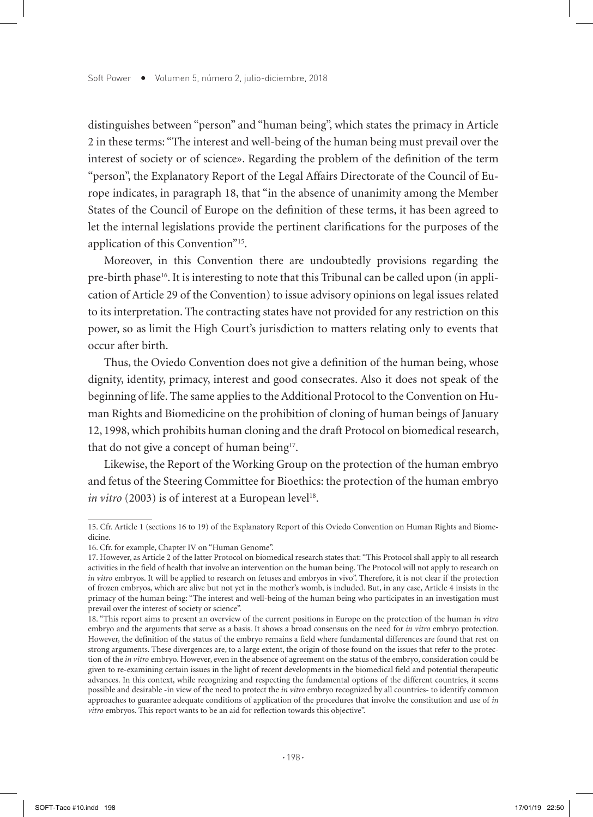distinguishes between "person" and "human being", which states the primacy in Article 2 in these terms: "The interest and well-being of the human being must prevail over the interest of society or of science». Regarding the problem of the definition of the term "person", the Explanatory Report of the Legal Affairs Directorate of the Council of Europe indicates, in paragraph 18, that "in the absence of unanimity among the Member States of the Council of Europe on the definition of these terms, it has been agreed to let the internal legislations provide the pertinent clarifications for the purposes of the application of this Convention"15.

Moreover, in this Convention there are undoubtedly provisions regarding the pre-birth phase16. It is interesting to note that this Tribunal can be called upon (in application of Article 29 of the Convention) to issue advisory opinions on legal issues related to its interpretation. The contracting states have not provided for any restriction on this power, so as limit the High Court's jurisdiction to matters relating only to events that occur after birth.

Thus, the Oviedo Convention does not give a definition of the human being, whose dignity, identity, primacy, interest and good consecrates. Also it does not speak of the beginning of life. The same applies to the Additional Protocol to the Convention on Human Rights and Biomedicine on the prohibition of cloning of human beings of January 12, 1998, which prohibits human cloning and the draft Protocol on biomedical research, that do not give a concept of human being<sup>17</sup>.

Likewise, the Report of the Working Group on the protection of the human embryo and fetus of the Steering Committee for Bioethics: the protection of the human embryo *in vitro* (2003) is of interest at a European level<sup>18</sup>.

<sup>15.</sup> Cfr. Article 1 (sections 16 to 19) of the Explanatory Report of this Oviedo Convention on Human Rights and Biomedicine.

<sup>16.</sup> Cfr. for example, Chapter IV on "Human Genome".

<sup>17.</sup> However, as Article 2 of the latter Protocol on biomedical research states that: "This Protocol shall apply to all research activities in the field of health that involve an intervention on the human being. The Protocol will not apply to research on *in vitro* embryos. It will be applied to research on fetuses and embryos in vivo". Therefore, it is not clear if the protection of frozen embryos, which are alive but not yet in the mother's womb, is included. But, in any case, Article 4 insists in the primacy of the human being: "The interest and well-being of the human being who participates in an investigation must prevail over the interest of society or science".

<sup>18. &</sup>quot;This report aims to present an overview of the current positions in Europe on the protection of the human *in vitro* embryo and the arguments that serve as a basis. It shows a broad consensus on the need for *in vitro* embryo protection. However, the definition of the status of the embryo remains a field where fundamental differences are found that rest on strong arguments. These divergences are, to a large extent, the origin of those found on the issues that refer to the protection of the *in vitro* embryo. However, even in the absence of agreement on the status of the embryo, consideration could be given to re-examining certain issues in the light of recent developments in the biomedical field and potential therapeutic advances. In this context, while recognizing and respecting the fundamental options of the different countries, it seems possible and desirable -in view of the need to protect the *in vitro* embryo recognized by all countries- to identify common approaches to guarantee adequate conditions of application of the procedures that involve the constitution and use of *in vitro* embryos. This report wants to be an aid for reflection towards this objective".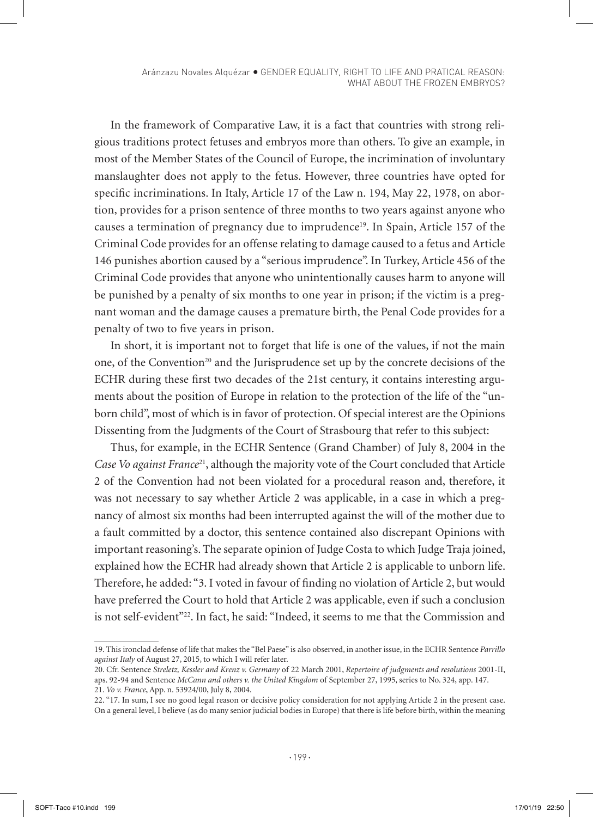In the framework of Comparative Law, it is a fact that countries with strong religious traditions protect fetuses and embryos more than others. To give an example, in most of the Member States of the Council of Europe, the incrimination of involuntary manslaughter does not apply to the fetus. However, three countries have opted for specific incriminations. In Italy, Article 17 of the Law n. 194, May 22, 1978, on abortion, provides for a prison sentence of three months to two years against anyone who causes a termination of pregnancy due to imprudence<sup>19</sup>. In Spain, Article 157 of the Criminal Code provides for an offense relating to damage caused to a fetus and Article 146 punishes abortion caused by a "serious imprudence". In Turkey, Article 456 of the Criminal Code provides that anyone who unintentionally causes harm to anyone will be punished by a penalty of six months to one year in prison; if the victim is a pregnant woman and the damage causes a premature birth, the Penal Code provides for a penalty of two to five years in prison.

In short, it is important not to forget that life is one of the values, if not the main one, of the Convention<sup>20</sup> and the Jurisprudence set up by the concrete decisions of the ECHR during these first two decades of the 21st century, it contains interesting arguments about the position of Europe in relation to the protection of the life of the "unborn child", most of which is in favor of protection. Of special interest are the Opinions Dissenting from the Judgments of the Court of Strasbourg that refer to this subject:

Thus, for example, in the ECHR Sentence (Grand Chamber) of July 8, 2004 in the *Case Vo against France*21, although the majority vote of the Court concluded that Article 2 of the Convention had not been violated for a procedural reason and, therefore, it was not necessary to say whether Article 2 was applicable, in a case in which a pregnancy of almost six months had been interrupted against the will of the mother due to a fault committed by a doctor, this sentence contained also discrepant Opinions with important reasoning's. The separate opinion of Judge Costa to which Judge Traja joined, explained how the ECHR had already shown that Article 2 is applicable to unborn life. Therefore, he added: "3. I voted in favour of finding no violation of Article 2, but would have preferred the Court to hold that Article 2 was applicable, even if such a conclusion is not self-evident"22. In fact, he said: "Indeed, it seems to me that the Commission and

<sup>19.</sup> This ironclad defense of life that makes the "Bel Paese" is also observed, in another issue, in the ECHR Sentence *Parrillo against Italy* of August 27, 2015, to which I will refer later.

<sup>20.</sup> Cfr. Sentence *Streletz, Kessler and Krenz v. Germany* of 22 March 2001, *Repertoire of judgments and resolutions* 2001-II, aps. 92-94 and Sentence *McCann and others v. the United Kingdom* of September 27, 1995, series to No. 324, app. 147. 21. *Vo v. France*, App. n. 53924/00, July 8, 2004.

<sup>22. &</sup>quot;17. In sum, I see no good legal reason or decisive policy consideration for not applying Article 2 in the present case. On a general level, I believe (as do many senior judicial bodies in Europe) that there is life before birth, within the meaning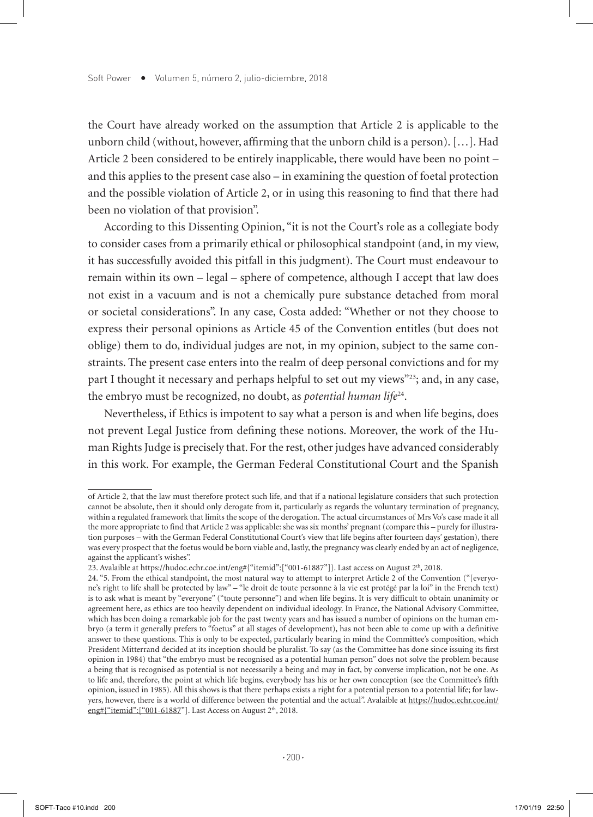the Court have already worked on the assumption that Article 2 is applicable to the unborn child (without, however, affirming that the unborn child is a person). […]. Had Article 2 been considered to be entirely inapplicable, there would have been no point – and this applies to the present case also – in examining the question of foetal protection and the possible violation of Article 2, or in using this reasoning to find that there had been no violation of that provision".

According to this Dissenting Opinion, "it is not the Court's role as a collegiate body to consider cases from a primarily ethical or philosophical standpoint (and, in my view, it has successfully avoided this pitfall in this judgment). The Court must endeavour to remain within its own – legal – sphere of competence, although I accept that law does not exist in a vacuum and is not a chemically pure substance detached from moral or societal considerations". In any case, Costa added: "Whether or not they choose to express their personal opinions as Article 45 of the Convention entitles (but does not oblige) them to do, individual judges are not, in my opinion, subject to the same constraints. The present case enters into the realm of deep personal convictions and for my part I thought it necessary and perhaps helpful to set out my views"23; and, in any case, the embryo must be recognized, no doubt, as *potential human life*<sup>24</sup>.

Nevertheless, if Ethics is impotent to say what a person is and when life begins, does not prevent Legal Justice from defining these notions. Moreover, the work of the Human Rights Judge is precisely that. For the rest, other judges have advanced considerably in this work. For example, the German Federal Constitutional Court and the Spanish

of Article 2, that the law must therefore protect such life, and that if a national legislature considers that such protection cannot be absolute, then it should only derogate from it, particularly as regards the voluntary termination of pregnancy, within a regulated framework that limits the scope of the derogation. The actual circumstances of Mrs Vo's case made it all the more appropriate to find that Article 2 was applicable: she was six months' pregnant (compare this – purely for illustration purposes – with the German Federal Constitutional Court's view that life begins after fourteen days' gestation), there was every prospect that the foetus would be born viable and, lastly, the pregnancy was clearly ended by an act of negligence, against the applicant's wishes".

<sup>23.</sup> Avalaible at https://hudoc.echr.coe.int/eng#{"itemid":["001-61887"]}. Last access on August 2th, 2018.

<sup>24. &</sup>quot;5. From the ethical standpoint, the most natural way to attempt to interpret Article 2 of the Convention ("[everyone's right to life shall be protected by law" – "le droit de toute personne à la vie est protégé par la loi" in the French text) is to ask what is meant by "everyone" ("toute personne") and when life begins. It is very difficult to obtain unanimity or agreement here, as ethics are too heavily dependent on individual ideology. In France, the National Advisory Committee, which has been doing a remarkable job for the past twenty years and has issued a number of opinions on the human embryo (a term it generally prefers to "foetus" at all stages of development), has not been able to come up with a definitive answer to these questions. This is only to be expected, particularly bearing in mind the Committee's composition, which President Mitterrand decided at its inception should be pluralist. To say (as the Committee has done since issuing its first opinion in 1984) that "the embryo must be recognised as a potential human person" does not solve the problem because a being that is recognised as potential is not necessarily a being and may in fact, by converse implication, not be one. As to life and, therefore, the point at which life begins, everybody has his or her own conception (see the Committee's fifth opinion, issued in 1985). All this shows is that there perhaps exists a right for a potential person to a potential life; for lawyers, however, there is a world of difference between the potential and the actual". Avalaible at https://hudoc.echr.coe.int/ eng#{"itemid":["001-61887"]. Last Access on August 2<sup>th</sup>, 2018.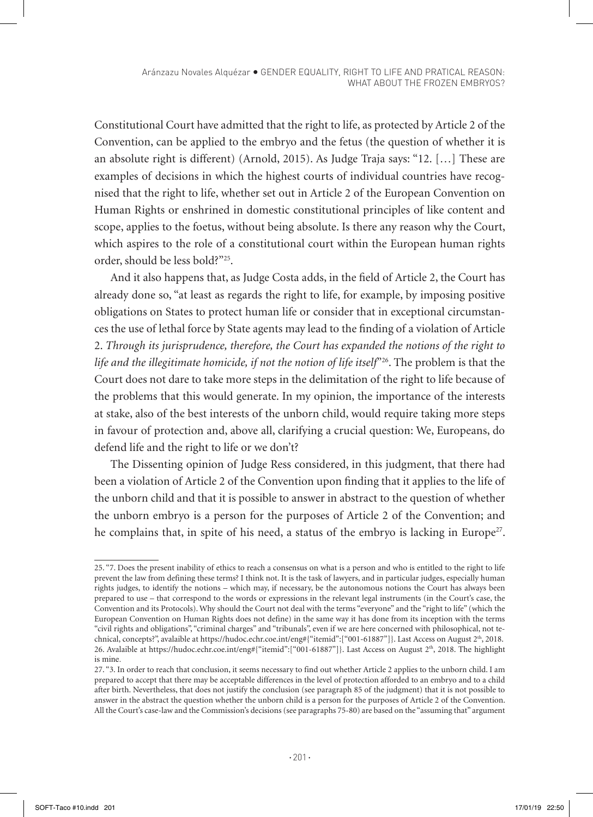Constitutional Court have admitted that the right to life, as protected by Article 2 of the Convention, can be applied to the embryo and the fetus (the question of whether it is an absolute right is different) (Arnold, 2015). As Judge Traja says: "12. […] These are examples of decisions in which the highest courts of individual countries have recognised that the right to life, whether set out in Article 2 of the European Convention on Human Rights or enshrined in domestic constitutional principles of like content and scope, applies to the foetus, without being absolute. Is there any reason why the Court, which aspires to the role of a constitutional court within the European human rights order, should be less bold?"25.

And it also happens that, as Judge Costa adds, in the field of Article 2, the Court has already done so, "at least as regards the right to life, for example, by imposing positive obligations on States to protect human life or consider that in exceptional circumstances the use of lethal force by State agents may lead to the finding of a violation of Article 2. *Through its jurisprudence, therefore, the Court has expanded the notions of the right to life and the illegitimate homicide, if not the notion of life itself*"26. The problem is that the Court does not dare to take more steps in the delimitation of the right to life because of the problems that this would generate. In my opinion, the importance of the interests at stake, also of the best interests of the unborn child, would require taking more steps in favour of protection and, above all, clarifying a crucial question: We, Europeans, do defend life and the right to life or we don't?

The Dissenting opinion of Judge Ress considered, in this judgment, that there had been a violation of Article 2 of the Convention upon finding that it applies to the life of the unborn child and that it is possible to answer in abstract to the question of whether the unborn embryo is a person for the purposes of Article 2 of the Convention; and he complains that, in spite of his need, a status of the embryo is lacking in Europe<sup>27</sup>.

<sup>25. &</sup>quot;7. Does the present inability of ethics to reach a consensus on what is a person and who is entitled to the right to life prevent the law from defining these terms? I think not. It is the task of lawyers, and in particular judges, especially human rights judges, to identify the notions – which may, if necessary, be the autonomous notions the Court has always been prepared to use – that correspond to the words or expressions in the relevant legal instruments (in the Court's case, the Convention and its Protocols). Why should the Court not deal with the terms "everyone" and the "right to life" (which the European Convention on Human Rights does not define) in the same way it has done from its inception with the terms "civil rights and obligations", "criminal charges" and "tribunals", even if we are here concerned with philosophical, not technical, concepts?", avalaible at https://hudoc.echr.coe.int/eng#{"itemid":["001-61887"]}. Last Access on August 2<sup>th</sup>, 2018. 26. Avalaible at https://hudoc.echr.coe.int/eng#{"itemid":["001-61887"]}. Last Access on August 2th, 2018. The highlight is mine.

<sup>27. &</sup>quot;3. In order to reach that conclusion, it seems necessary to find out whether Article 2 applies to the unborn child. I am prepared to accept that there may be acceptable differences in the level of protection afforded to an embryo and to a child after birth. Nevertheless, that does not justify the conclusion (see paragraph 85 of the judgment) that it is not possible to answer in the abstract the question whether the unborn child is a person for the purposes of Article 2 of the Convention. All the Court's case-law and the Commission's decisions (see paragraphs 75-80) are based on the "assuming that" argument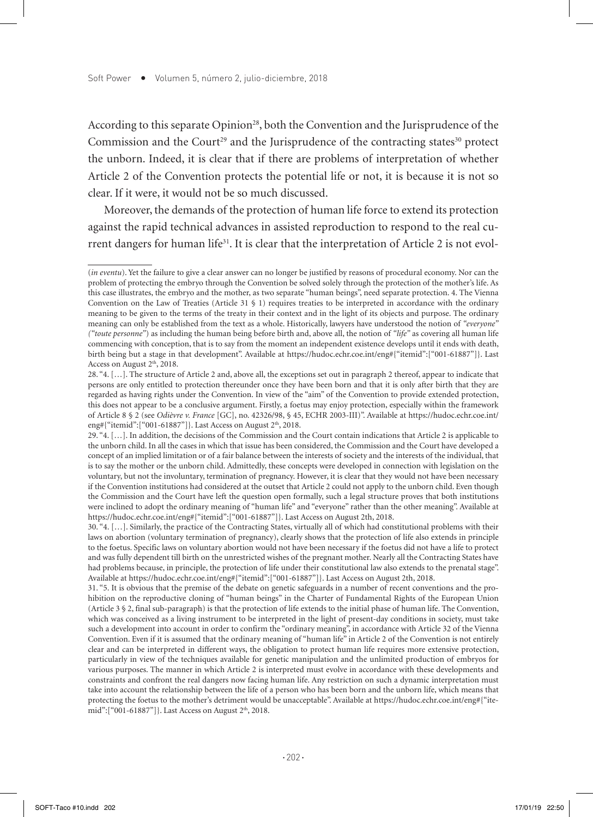According to this separate Opinion<sup>28</sup>, both the Convention and the Jurisprudence of the Commission and the Court<sup>29</sup> and the Jurisprudence of the contracting states<sup>30</sup> protect the unborn. Indeed, it is clear that if there are problems of interpretation of whether Article 2 of the Convention protects the potential life or not, it is because it is not so clear. If it were, it would not be so much discussed.

Moreover, the demands of the protection of human life force to extend its protection against the rapid technical advances in assisted reproduction to respond to the real current dangers for human life<sup>31</sup>. It is clear that the interpretation of Article 2 is not evol-

31. "5. It is obvious that the premise of the debate on genetic safeguards in a number of recent conventions and the prohibition on the reproductive cloning of "human beings" in the Charter of Fundamental Rights of the European Union (Article 3 § 2, final sub-paragraph) is that the protection of life extends to the initial phase of human life. The Convention, which was conceived as a living instrument to be interpreted in the light of present-day conditions in society, must take such a development into account in order to confirm the "ordinary meaning", in accordance with Article 32 of the Vienna Convention. Even if it is assumed that the ordinary meaning of "human life" in Article 2 of the Convention is not entirely clear and can be interpreted in different ways, the obligation to protect human life requires more extensive protection, particularly in view of the techniques available for genetic manipulation and the unlimited production of embryos for various purposes. The manner in which Article 2 is interpreted must evolve in accordance with these developments and constraints and confront the real dangers now facing human life. Any restriction on such a dynamic interpretation must take into account the relationship between the life of a person who has been born and the unborn life, which means that protecting the foetus to the mother's detriment would be unacceptable". Available at https://hudoc.echr.coe.int/eng#{"itemid":["001-61887"]}. Last Access on August 2<sup>th</sup>, 2018.

<sup>(</sup>*in eventu*). Yet the failure to give a clear answer can no longer be justified by reasons of procedural economy. Nor can the problem of protecting the embryo through the Convention be solved solely through the protection of the mother's life. As this case illustrates, the embryo and the mother, as two separate "human beings", need separate protection. 4. The Vienna Convention on the Law of Treaties (Article 31 § 1) requires treaties to be interpreted in accordance with the ordinary meaning to be given to the terms of the treaty in their context and in the light of its objects and purpose. The ordinary meaning can only be established from the text as a whole. Historically, lawyers have understood the notion of *"everyone" ("toute personne"*) as including the human being before birth and, above all, the notion of *"life"* as covering all human life commencing with conception, that is to say from the moment an independent existence develops until it ends with death, birth being but a stage in that development". Available at https://hudoc.echr.coe.int/eng#{"itemid":["001-61887"]}. Last Access on August 2<sup>th</sup>, 2018.

<sup>28. &</sup>quot;4. […]. The structure of Article 2 and, above all, the exceptions set out in paragraph 2 thereof, appear to indicate that persons are only entitled to protection thereunder once they have been born and that it is only after birth that they are regarded as having rights under the Convention. In view of the "aim" of the Convention to provide extended protection, this does not appear to be a conclusive argument. Firstly, a foetus may enjoy protection, especially within the framework of Article 8 § 2 (see *Odièvre v. France* [GC], no. 42326/98, § 45, ECHR 2003-III)". Available at https://hudoc.echr.coe.int/ eng#{"itemid":["001-61887"]}. Last Access on August  $2<sup>th</sup>$ , 2018.

<sup>29. &</sup>quot;4. […]. In addition, the decisions of the Commission and the Court contain indications that Article 2 is applicable to the unborn child. In all the cases in which that issue has been considered, the Commission and the Court have developed a concept of an implied limitation or of a fair balance between the interests of society and the interests of the individual, that is to say the mother or the unborn child. Admittedly, these concepts were developed in connection with legislation on the voluntary, but not the involuntary, termination of pregnancy. However, it is clear that they would not have been necessary if the Convention institutions had considered at the outset that Article 2 could not apply to the unborn child. Even though the Commission and the Court have left the question open formally, such a legal structure proves that both institutions were inclined to adopt the ordinary meaning of "human life" and "everyone" rather than the other meaning". Available at https://hudoc.echr.coe.int/eng#{"itemid":["001-61887"]}. Last Access on August 2th, 2018.

<sup>30. &</sup>quot;4. […]. Similarly, the practice of the Contracting States, virtually all of which had constitutional problems with their laws on abortion (voluntary termination of pregnancy), clearly shows that the protection of life also extends in principle to the foetus. Specific laws on voluntary abortion would not have been necessary if the foetus did not have a life to protect and was fully dependent till birth on the unrestricted wishes of the pregnant mother. Nearly all the Contracting States have had problems because, in principle, the protection of life under their constitutional law also extends to the prenatal stage". Available at https://hudoc.echr.coe.int/eng#{"itemid":["001-61887"]}. Last Access on August 2th, 2018.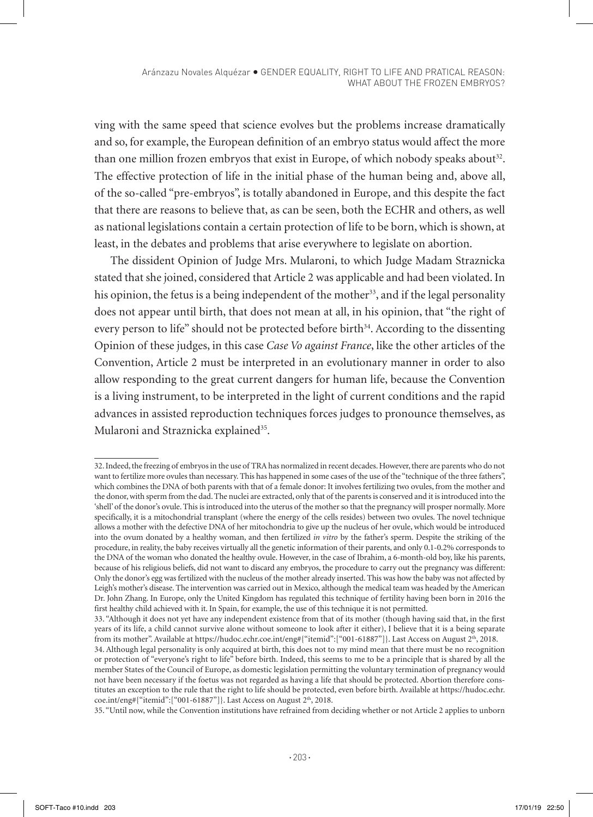ving with the same speed that science evolves but the problems increase dramatically and so, for example, the European definition of an embryo status would affect the more than one million frozen embryos that exist in Europe, of which nobody speaks about<sup>32</sup>. The effective protection of life in the initial phase of the human being and, above all, of the so-called "pre-embryos", is totally abandoned in Europe, and this despite the fact that there are reasons to believe that, as can be seen, both the ECHR and others, as well as national legislations contain a certain protection of life to be born, which is shown, at least, in the debates and problems that arise everywhere to legislate on abortion.

The dissident Opinion of Judge Mrs. Mularoni, to which Judge Madam Straznicka stated that she joined, considered that Article 2 was applicable and had been violated. In his opinion, the fetus is a being independent of the mother<sup>33</sup>, and if the legal personality does not appear until birth, that does not mean at all, in his opinion, that "the right of every person to life" should not be protected before birth $34$ . According to the dissenting Opinion of these judges, in this case *Case Vo against France*, like the other articles of the Convention, Article 2 must be interpreted in an evolutionary manner in order to also allow responding to the great current dangers for human life, because the Convention is a living instrument, to be interpreted in the light of current conditions and the rapid advances in assisted reproduction techniques forces judges to pronounce themselves, as Mularoni and Straznicka explained<sup>35</sup>.

<sup>32.</sup> Indeed, the freezing of embryos in the use of TRA has normalized in recent decades. However, there are parents who do not want to fertilize more ovules than necessary. This has happened in some cases of the use of the "technique of the three fathers", which combines the DNA of both parents with that of a female donor: It involves fertilizing two ovules, from the mother and the donor, with sperm from the dad. The nuclei are extracted, only that of the parents is conserved and it is introduced into the 'shell' of the donor's ovule. This is introduced into the uterus of the mother so that the pregnancy will prosper normally. More specifically, it is a mitochondrial transplant (where the energy of the cells resides) between two ovules. The novel technique allows a mother with the defective DNA of her mitochondria to give up the nucleus of her ovule, which would be introduced into the ovum donated by a healthy woman, and then fertilized *in vitro* by the father's sperm. Despite the striking of the procedure, in reality, the baby receives virtually all the genetic information of their parents, and only 0.1-0.2% corresponds to the DNA of the woman who donated the healthy ovule. However, in the case of Ibrahim, a 6-month-old boy, like his parents, because of his religious beliefs, did not want to discard any embryos, the procedure to carry out the pregnancy was different: Only the donor's egg was fertilized with the nucleus of the mother already inserted. This was how the baby was not affected by Leigh's mother's disease. The intervention was carried out in Mexico, although the medical team was headed by the American Dr. John Zhang. In Europe, only the United Kingdom has regulated this technique of fertility having been born in 2016 the first healthy child achieved with it. In Spain, for example, the use of this technique it is not permitted.

<sup>33. &</sup>quot;Although it does not yet have any independent existence from that of its mother (though having said that, in the first years of its life, a child cannot survive alone without someone to look after it either), I believe that it is a being separate from its mother". Available at https://hudoc.echr.coe.int/eng#{"itemid":["001-61887"]}. Last Access on August 2<sup>th</sup>, 2018. 34. Although legal personality is only acquired at birth, this does not to my mind mean that there must be no recognition or protection of "everyone's right to life" before birth. Indeed, this seems to me to be a principle that is shared by all the member States of the Council of Europe, as domestic legislation permitting the voluntary termination of pregnancy would not have been necessary if the foetus was not regarded as having a life that should be protected. Abortion therefore constitutes an exception to the rule that the right to life should be protected, even before birth. Available at https://hudoc.echr.  $\text{coe.int/eng#}$ {"itemid":["001-61887"]}. Last Access on August 2<sup>th</sup>, 2018.

<sup>35. &</sup>quot;Until now, while the Convention institutions have refrained from deciding whether or not Article 2 applies to unborn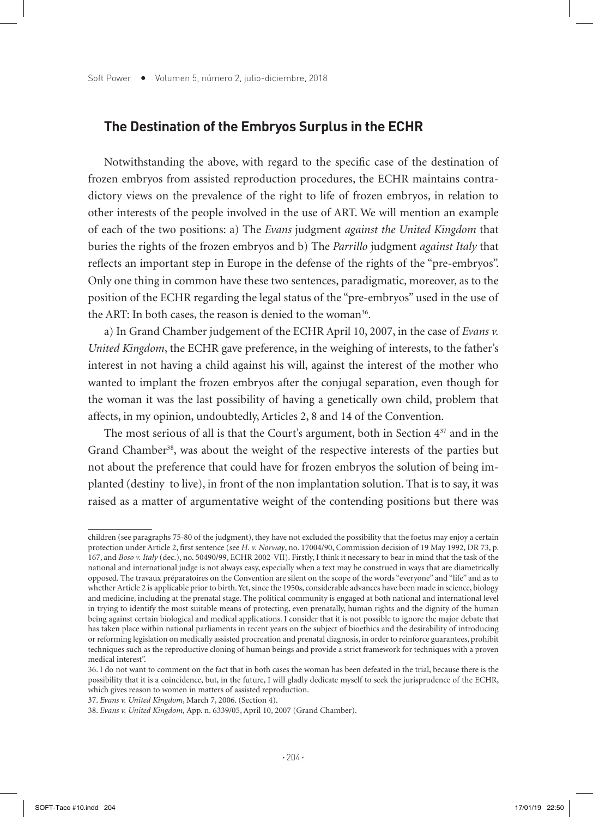## **The Destination of the Embryos Surplus in the ECHR**

Notwithstanding the above, with regard to the specific case of the destination of frozen embryos from assisted reproduction procedures, the ECHR maintains contradictory views on the prevalence of the right to life of frozen embryos, in relation to other interests of the people involved in the use of ART. We will mention an example of each of the two positions: a) The *Evans* judgment *against the United Kingdom* that buries the rights of the frozen embryos and b) The *Parrillo* judgment *against Italy* that reflects an important step in Europe in the defense of the rights of the "pre-embryos". Only one thing in common have these two sentences, paradigmatic, moreover, as to the position of the ECHR regarding the legal status of the "pre-embryos" used in the use of the ART: In both cases, the reason is denied to the woman<sup>36</sup>.

a) In Grand Chamber judgement of the ECHR April 10, 2007, in the case of *Evans v. United Kingdom*, the ECHR gave preference, in the weighing of interests, to the father's interest in not having a child against his will, against the interest of the mother who wanted to implant the frozen embryos after the conjugal separation, even though for the woman it was the last possibility of having a genetically own child, problem that affects, in my opinion, undoubtedly, Articles 2, 8 and 14 of the Convention.

The most serious of all is that the Court's argument, both in Section  $4^{37}$  and in the Grand Chamber<sup>38</sup>, was about the weight of the respective interests of the parties but not about the preference that could have for frozen embryos the solution of being implanted (destiny to live), in front of the non implantation solution. That is to say, it was raised as a matter of argumentative weight of the contending positions but there was

37. *Evans v. United Kingdom*, March 7, 2006. (Section 4).

children (see paragraphs 75-80 of the judgment), they have not excluded the possibility that the foetus may enjoy a certain protection under Article 2, first sentence (see *H. v. Norway*, no. 17004/90, Commission decision of 19 May 1992, DR 73, p. 167, and *Boso v. Italy* (dec.), no. 50490/99, ECHR 2002-VII). Firstly, I think it necessary to bear in mind that the task of the national and international judge is not always easy, especially when a text may be construed in ways that are diametrically opposed. The travaux préparatoires on the Convention are silent on the scope of the words "everyone" and "life" and as to whether Article 2 is applicable prior to birth. Yet, since the 1950s, considerable advances have been made in science, biology and medicine, including at the prenatal stage. The political community is engaged at both national and international level in trying to identify the most suitable means of protecting, even prenatally, human rights and the dignity of the human being against certain biological and medical applications. I consider that it is not possible to ignore the major debate that has taken place within national parliaments in recent years on the subject of bioethics and the desirability of introducing or reforming legislation on medically assisted procreation and prenatal diagnosis, in order to reinforce guarantees, prohibit techniques such as the reproductive cloning of human beings and provide a strict framework for techniques with a proven medical interest".

<sup>36.</sup> I do not want to comment on the fact that in both cases the woman has been defeated in the trial, because there is the possibility that it is a coincidence, but, in the future, I will gladly dedicate myself to seek the jurisprudence of the ECHR, which gives reason to women in matters of assisted reproduction.

<sup>38.</sup> *Evans v. United Kingdom,* App. n. 6339/05, April 10, 2007 (Grand Chamber).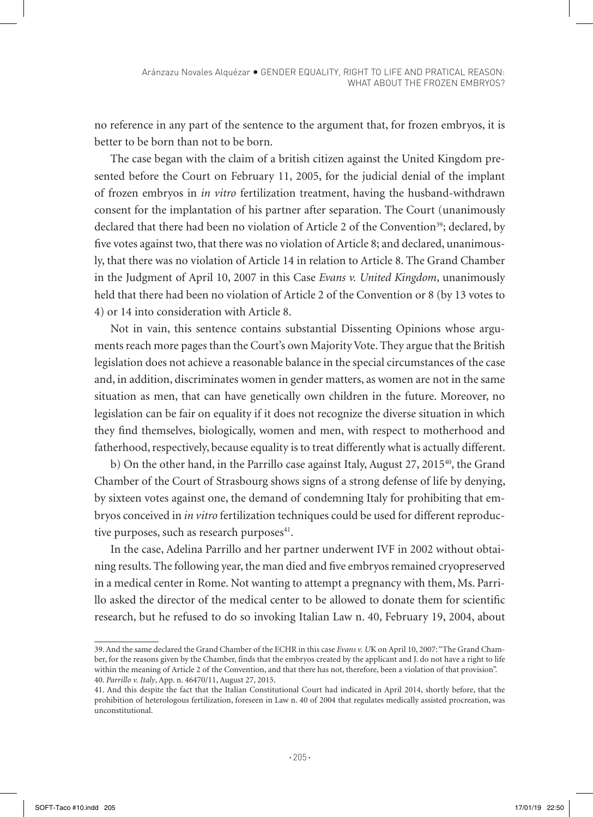no reference in any part of the sentence to the argument that, for frozen embryos, it is better to be born than not to be born.

The case began with the claim of a british citizen against the United Kingdom presented before the Court on February 11, 2005, for the judicial denial of the implant of frozen embryos in *in vitro* fertilization treatment, having the husband-withdrawn consent for the implantation of his partner after separation. The Court (unanimously declared that there had been no violation of Article 2 of the Convention<sup>39</sup>; declared, by five votes against two, that there was no violation of Article 8; and declared, unanimously, that there was no violation of Article 14 in relation to Article 8. The Grand Chamber in the Judgment of April 10, 2007 in this Case *Evans v. United Kingdom*, unanimously held that there had been no violation of Article 2 of the Convention or 8 (by 13 votes to 4) or 14 into consideration with Article 8.

Not in vain, this sentence contains substantial Dissenting Opinions whose arguments reach more pages than the Court's own Majority Vote. They argue that the British legislation does not achieve a reasonable balance in the special circumstances of the case and, in addition, discriminates women in gender matters, as women are not in the same situation as men, that can have genetically own children in the future. Moreover, no legislation can be fair on equality if it does not recognize the diverse situation in which they find themselves, biologically, women and men, with respect to motherhood and fatherhood, respectively, because equality is to treat differently what is actually different.

b) On the other hand, in the Parrillo case against Italy, August  $27, 2015^{40}$ , the Grand Chamber of the Court of Strasbourg shows signs of a strong defense of life by denying, by sixteen votes against one, the demand of condemning Italy for prohibiting that embryos conceived in *in vitro* fertilization techniques could be used for different reproductive purposes, such as research purposes<sup>41</sup>.

In the case, Adelina Parrillo and her partner underwent IVF in 2002 without obtaining results. The following year, the man died and five embryos remained cryopreserved in a medical center in Rome. Not wanting to attempt a pregnancy with them, Ms. Parrillo asked the director of the medical center to be allowed to donate them for scientific research, but he refused to do so invoking Italian Law n. 40, February 19, 2004, about

<sup>39.</sup> And the same declared the Grand Chamber of the ECHR in this case *Evans v. U*K on April 10, 2007: "The Grand Chamber, for the reasons given by the Chamber, finds that the embryos created by the applicant and J. do not have a right to life within the meaning of Article 2 of the Convention, and that there has not, therefore, been a violation of that provision". 40. *Parrillo v. Italy*, App. n. 46470/11, August 27, 2015.

<sup>41.</sup> And this despite the fact that the Italian Constitutional Court had indicated in April 2014, shortly before, that the prohibition of heterologous fertilization, foreseen in Law n. 40 of 2004 that regulates medically assisted procreation, was unconstitutional.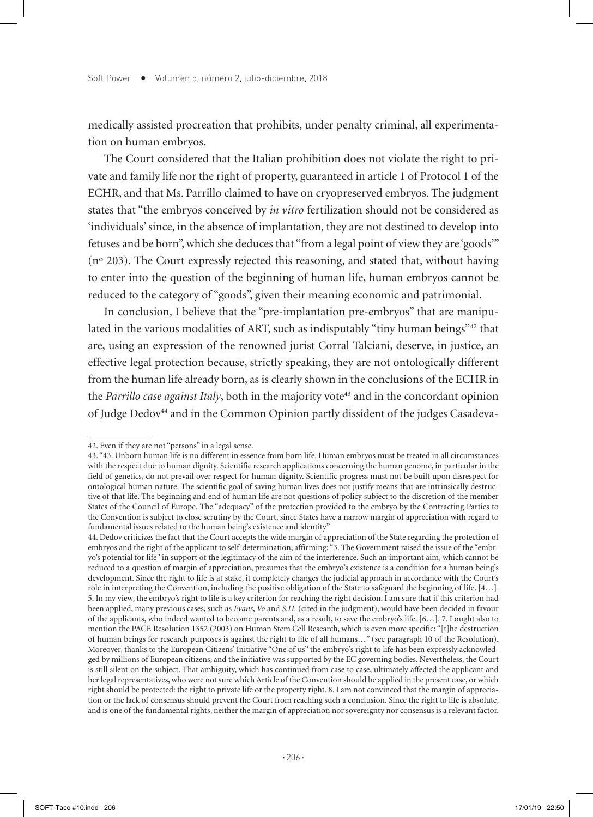medically assisted procreation that prohibits, under penalty criminal, all experimentation on human embryos.

The Court considered that the Italian prohibition does not violate the right to private and family life nor the right of property, guaranteed in article 1 of Protocol 1 of the ECHR, and that Ms. Parrillo claimed to have on cryopreserved embryos. The judgment states that "the embryos conceived by *in vitro* fertilization should not be considered as 'individuals' since, in the absence of implantation, they are not destined to develop into fetuses and be born", which she deduces that "from a legal point of view they are 'goods'" (nº 203). The Court expressly rejected this reasoning, and stated that, without having to enter into the question of the beginning of human life, human embryos cannot be reduced to the category of "goods", given their meaning economic and patrimonial.

In conclusion, I believe that the "pre-implantation pre-embryos" that are manipulated in the various modalities of ART, such as indisputably "tiny human beings"42 that are, using an expression of the renowned jurist Corral Talciani, deserve, in justice, an effective legal protection because, strictly speaking, they are not ontologically different from the human life already born, as is clearly shown in the conclusions of the ECHR in the *Parrillo case against Italy*, both in the majority vote<sup>43</sup> and in the concordant opinion of Judge Dedov44 and in the Common Opinion partly dissident of the judges Casadeva-

<sup>42.</sup> Even if they are not "persons" in a legal sense.

<sup>43. &</sup>quot;43. Unborn human life is no different in essence from born life. Human embryos must be treated in all circumstances with the respect due to human dignity. Scientific research applications concerning the human genome, in particular in the field of genetics, do not prevail over respect for human dignity. Scientific progress must not be built upon disrespect for ontological human nature. The scientific goal of saving human lives does not justify means that are intrinsically destructive of that life. The beginning and end of human life are not questions of policy subject to the discretion of the member States of the Council of Europe. The "adequacy" of the protection provided to the embryo by the Contracting Parties to the Convention is subject to close scrutiny by the Court, since States have a narrow margin of appreciation with regard to fundamental issues related to the human being's existence and identity"

<sup>44.</sup> Dedov criticizes the fact that the Court accepts the wide margin of appreciation of the State regarding the protection of embryos and the right of the applicant to self-determination, affirming: "3. The Government raised the issue of the "embryo's potential for life" in support of the legitimacy of the aim of the interference. Such an important aim, which cannot be reduced to a question of margin of appreciation, presumes that the embryo's existence is a condition for a human being's development. Since the right to life is at stake, it completely changes the judicial approach in accordance with the Court's role in interpreting the Convention, including the positive obligation of the State to safeguard the beginning of life. [4…]. 5. In my view, the embryo's right to life is a key criterion for reaching the right decision. I am sure that if this criterion had been applied, many previous cases, such as *Evans*, *Vo* and *S.H.* (cited in the judgment), would have been decided in favour of the applicants, who indeed wanted to become parents and, as a result, to save the embryo's life. [6…]. 7. I ought also to mention the PACE Resolution 1352 (2003) on Human Stem Cell Research, which is even more specific: "[t]he destruction of human beings for research purposes is against the right to life of all humans…" (see paragraph 10 of the Resolution). Moreover, thanks to the European Citizens' Initiative "One of us" the embryo's right to life has been expressly acknowledged by millions of European citizens, and the initiative was supported by the EC governing bodies. Nevertheless, the Court is still silent on the subject. That ambiguity, which has continued from case to case, ultimately affected the applicant and her legal representatives, who were not sure which Article of the Convention should be applied in the present case, or which right should be protected: the right to private life or the property right. 8. I am not convinced that the margin of appreciation or the lack of consensus should prevent the Court from reaching such a conclusion. Since the right to life is absolute, and is one of the fundamental rights, neither the margin of appreciation nor sovereignty nor consensus is a relevant factor.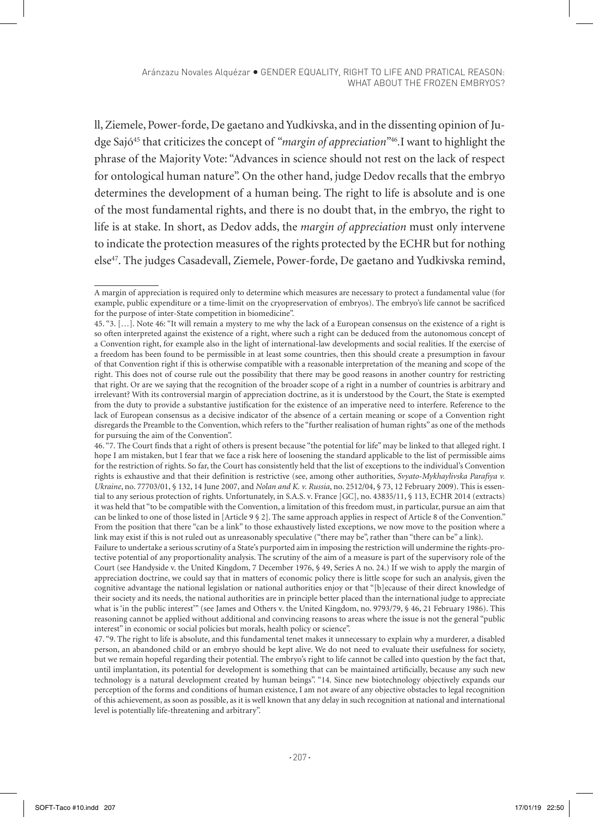Aránzazu Novales Alquézar GENDER EQUALITY, RIGHT TO LIFE AND PRATICAL REASON: WHAT ABOUT THE FROZEN EMBRYOS?

ll, Ziemele, Power-forde, De gaetano and Yudkivska, and in the dissenting opinion of Judge Sajó45 that criticizes the concept of *"margin of appreciation"*<sup>46</sup>*.*I want to highlight the phrase of the Majority Vote: "Advances in science should not rest on the lack of respect for ontological human nature". On the other hand, judge Dedov recalls that the embryo determines the development of a human being. The right to life is absolute and is one of the most fundamental rights, and there is no doubt that, in the embryo, the right to life is at stake. In short, as Dedov adds, the *margin of appreciation* must only intervene to indicate the protection measures of the rights protected by the ECHR but for nothing else47. The judges Casadevall, Ziemele, Power-forde, De gaetano and Yudkivska remind,

46. "7. The Court finds that a right of others is present because "the potential for life" may be linked to that alleged right. I hope I am mistaken, but I fear that we face a risk here of loosening the standard applicable to the list of permissible aims for the restriction of rights. So far, the Court has consistently held that the list of exceptions to the individual's Convention rights is exhaustive and that their definition is restrictive (see, among other authorities, *Svyato-Mykhaylivska Parafiya v. Ukraine*, no. 77703/01, § 132, 14 June 2007, and *Nolan and K. v. Russia*, no. 2512/04, § 73, 12 February 2009). This is essential to any serious protection of rights. Unfortunately, in S.A.S. v. France [GC], no. 43835/11, § 113, ECHR 2014 (extracts) it was held that "to be compatible with the Convention, a limitation of this freedom must, in particular, pursue an aim that can be linked to one of those listed in [Article 9 § 2]. The same approach applies in respect of Article 8 of the Convention." From the position that there "can be a link" to those exhaustively listed exceptions, we now move to the position where a link may exist if this is not ruled out as unreasonably speculative ("there may be", rather than "there can be" a link).

Failure to undertake a serious scrutiny of a State's purported aim in imposing the restriction will undermine the rights-protective potential of any proportionality analysis. The scrutiny of the aim of a measure is part of the supervisory role of the Court (see Handyside v. the United Kingdom, 7 December 1976, § 49, Series A no. 24.) If we wish to apply the margin of appreciation doctrine, we could say that in matters of economic policy there is little scope for such an analysis, given the cognitive advantage the national legislation or national authorities enjoy or that "[b]ecause of their direct knowledge of their society and its needs, the national authorities are in principle better placed than the international judge to appreciate what is 'in the public interest" (see James and Others v. the United Kingdom, no. 9793/79, § 46, 21 February 1986). This reasoning cannot be applied without additional and convincing reasons to areas where the issue is not the general "public interest" in economic or social policies but morals, health policy or science".

47. "9. The right to life is absolute, and this fundamental tenet makes it unnecessary to explain why a murderer, a disabled person, an abandoned child or an embryo should be kept alive. We do not need to evaluate their usefulness for society, but we remain hopeful regarding their potential. The embryo's right to life cannot be called into question by the fact that, until implantation, its potential for development is something that can be maintained artificially, because any such new technology is a natural development created by human beings". "14. Since new biotechnology objectively expands our perception of the forms and conditions of human existence, I am not aware of any objective obstacles to legal recognition of this achievement, as soon as possible, as it is well known that any delay in such recognition at national and international level is potentially life-threatening and arbitrary".

A margin of appreciation is required only to determine which measures are necessary to protect a fundamental value (for example, public expenditure or a time-limit on the cryopreservation of embryos). The embryo's life cannot be sacrificed for the purpose of inter-State competition in biomedicine".

<sup>45. &</sup>quot;3. […]. Note 46: "It will remain a mystery to me why the lack of a European consensus on the existence of a right is so often interpreted against the existence of a right, where such a right can be deduced from the autonomous concept of a Convention right, for example also in the light of international-law developments and social realities. If the exercise of a freedom has been found to be permissible in at least some countries, then this should create a presumption in favour of that Convention right if this is otherwise compatible with a reasonable interpretation of the meaning and scope of the right. This does not of course rule out the possibility that there may be good reasons in another country for restricting that right. Or are we saying that the recognition of the broader scope of a right in a number of countries is arbitrary and irrelevant? With its controversial margin of appreciation doctrine, as it is understood by the Court, the State is exempted from the duty to provide a substantive justification for the existence of an imperative need to interfere. Reference to the lack of European consensus as a decisive indicator of the absence of a certain meaning or scope of a Convention right disregards the Preamble to the Convention, which refers to the "further realisation of human rights" as one of the methods for pursuing the aim of the Convention".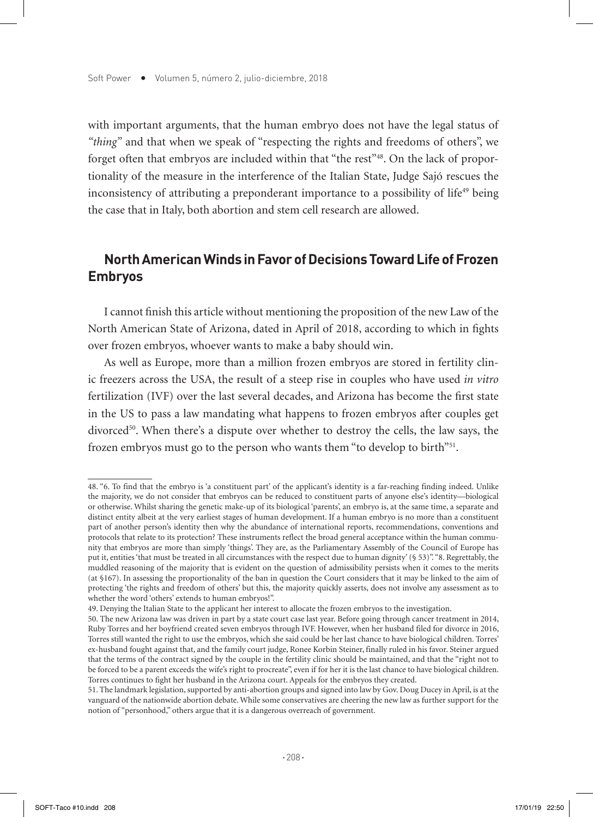with important arguments, that the human embryo does not have the legal status of *"thing"* and that when we speak of "respecting the rights and freedoms of others", we forget often that embryos are included within that "the rest"<sup>48</sup>. On the lack of proportionality of the measure in the interference of the Italian State, Judge Sajó rescues the inconsistency of attributing a preponderant importance to a possibility of life<sup>49</sup> being the case that in Italy, both abortion and stem cell research are allowed.

# **North American Winds in Favor of Decisions Toward Life of Frozen Embryos**

I cannot finish this article without mentioning the proposition of the new Law of the North American State of Arizona, dated in April of 2018, according to which in fights over frozen embryos, whoever wants to make a baby should win.

As well as Europe, more than a million frozen embryos are stored in fertility clinic freezers across the USA, the result of a steep rise in couples who have used *in vitro* fertilization (IVF) over the last several decades, and Arizona has become the first state in the US to pass a law mandating what happens to frozen embryos after couples get divorced<sup>50</sup>. When there's a dispute over whether to destroy the cells, the law says, the frozen embryos must go to the person who wants them "to develop to birth"51.

<sup>48. &</sup>quot;6. To find that the embryo is 'a constituent part' of the applicant's identity is a far-reaching finding indeed. Unlike the majority, we do not consider that embryos can be reduced to constituent parts of anyone else's identity—biological or otherwise. Whilst sharing the genetic make-up of its biological 'parents', an embryo is, at the same time, a separate and distinct entity albeit at the very earliest stages of human development. If a human embryo is no more than a constituent part of another person's identity then why the abundance of international reports, recommendations, conventions and protocols that relate to its protection? These instruments reflect the broad general acceptance within the human community that embryos are more than simply 'things'. They are, as the Parliamentary Assembly of the Council of Europe has put it, entities 'that must be treated in all circumstances with the respect due to human dignity' (§ 53)". "8. Regrettably, the muddled reasoning of the majority that is evident on the question of admissibility persists when it comes to the merits (at §167). In assessing the proportionality of the ban in question the Court considers that it may be linked to the aim of protecting 'the rights and freedom of others' but this, the majority quickly asserts, does not involve any assessment as to whether the word 'others' extends to human embryos!".

<sup>49.</sup> Denying the Italian State to the applicant her interest to allocate the frozen embryos to the investigation.

<sup>50.</sup> The new Arizona law was driven in part by a state court case last year. Before going through cancer treatment in 2014, Ruby Torres and her boyfriend created seven embryos through IVF. However, when her husband filed for divorce in 2016, Torres still wanted the right to use the embryos, which she said could be her last chance to have biological children. Torres' ex-husband fought against that, and the family court judge, Ronee Korbin Steiner, finally ruled in his favor. Steiner argued that the terms of the contract signed by the couple in the fertility clinic should be maintained, and that the "right not to be forced to be a parent exceeds the wife's right to procreate", even if for her it is the last chance to have biological children. Torres continues to fight her husband in the Arizona court. Appeals for the embryos they created.

<sup>51.</sup> The landmark legislation, supported by anti-abortion groups and signed into law by Gov. Doug Ducey in April, is at the vanguard of the nationwide abortion debate. While some conservatives are cheering the new law as further support for the notion of "personhood," others argue that it is a dangerous overreach of government.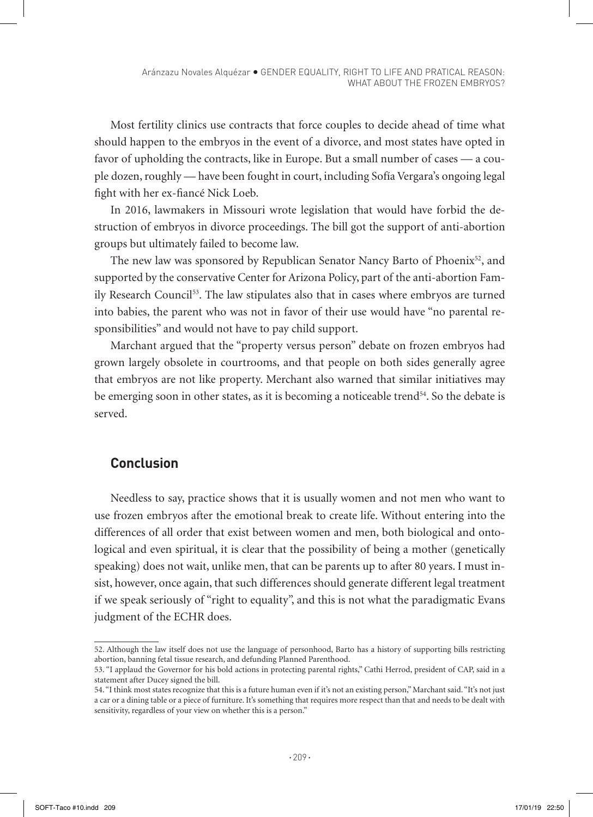Most fertility clinics use contracts that force couples to decide ahead of time what should happen to the embryos in the event of a divorce, and most states have opted in favor of upholding the contracts, like in Europe. But a small number of cases — a couple dozen, roughly — have been fought in court, including Sofía Vergara's ongoing legal fight with her ex-fiancé Nick Loeb.

In 2016, lawmakers in Missouri wrote legislation that would have forbid the destruction of embryos in divorce proceedings. The bill got the support of anti-abortion groups but ultimately failed to become law.

The new law was sponsored by Republican Senator Nancy Barto of Phoenix $52$ , and supported by the conservative Center for Arizona Policy, part of the anti-abortion Family Research Council<sup>53</sup>. The law stipulates also that in cases where embryos are turned into babies, the parent who was not in favor of their use would have "no parental responsibilities" and would not have to pay child support.

Marchant argued that the "property versus person" debate on frozen embryos had grown largely obsolete in courtrooms, and that people on both sides generally agree that embryos are not like property. Merchant also warned that similar initiatives may be emerging soon in other states, as it is becoming a noticeable trend<sup>54</sup>. So the debate is served.

## **Conclusion**

Needless to say, practice shows that it is usually women and not men who want to use frozen embryos after the emotional break to create life. Without entering into the differences of all order that exist between women and men, both biological and ontological and even spiritual, it is clear that the possibility of being a mother (genetically speaking) does not wait, unlike men, that can be parents up to after 80 years. I must insist, however, once again, that such differences should generate different legal treatment if we speak seriously of "right to equality", and this is not what the paradigmatic Evans judgment of the ECHR does.

<sup>52.</sup> Although the law itself does not use the language of personhood, Barto has a history of supporting bills restricting abortion, banning fetal tissue research, and defunding Planned Parenthood.

<sup>53. &</sup>quot;I applaud the Governor for his bold actions in protecting parental rights," Cathi Herrod, president of CAP, said in a statement after Ducey signed the bill.

<sup>54. &</sup>quot;I think most states recognize that this is a future human even if it's not an existing person," Marchant said. "It's not just a car or a dining table or a piece of furniture. It's something that requires more respect than that and needs to be dealt with sensitivity, regardless of your view on whether this is a person."